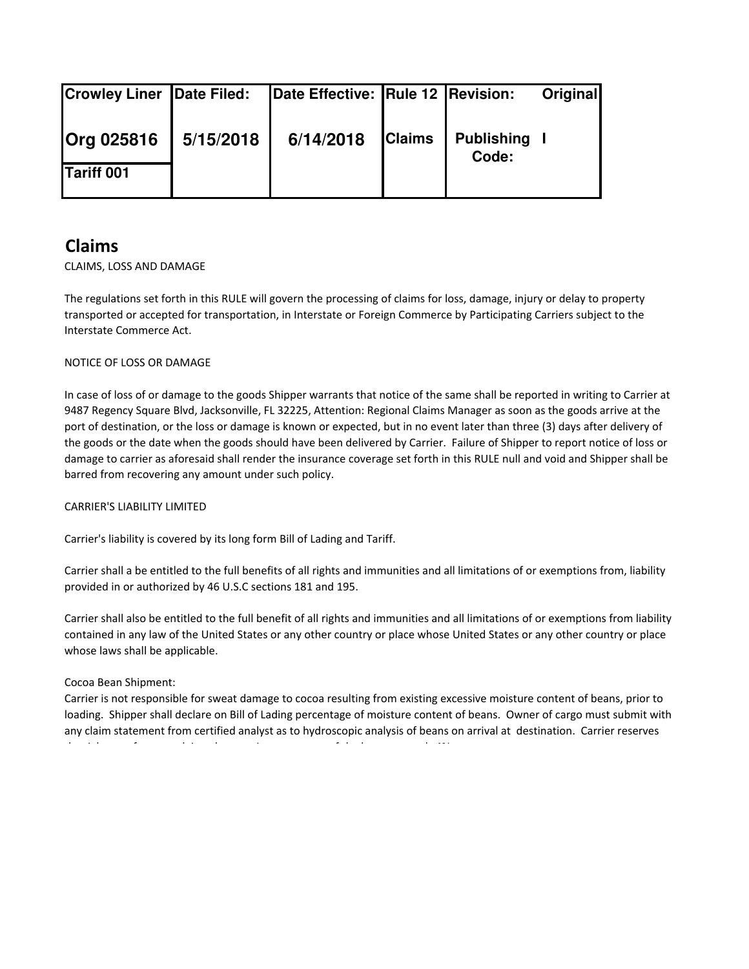| <b>Crowley Liner Date Filed:</b> |           | Date Effective: Rule 12 Revision: |               |                            | <b>Original</b> |
|----------------------------------|-----------|-----------------------------------|---------------|----------------------------|-----------------|
| <b>Org 025816</b>                | 5/15/2018 | 6/14/2018                         | <b>Claims</b> | <b>Publishing</b><br>Code: |                 |
| <b>Tariff 001</b>                |           |                                   |               |                            |                 |

# **Claims**

## CLAIMS, LOSS AND DAMAGE

The regulations set forth in this RULE will govern the processing of claims for loss, damage, injury or delay to property transported or accepted for transportation, in Interstate or Foreign Commerce by Participating Carriers subject to the Interstate Commerce Act.

## NOTICE OF LOSS OR DAMAGE

In case of loss of or damage to the goods Shipper warrants that notice of the same shall be reported in writing to Carrier at 9487 Regency Square Blvd, Jacksonville, FL 32225, Attention: Regional Claims Manager as soon as the goods arrive at the port of destination, or the loss or damage is known or expected, but in no event later than three (3) days after delivery of the goods or the date when the goods should have been delivered by Carrier. Failure of Shipper to report notice of loss or damage to carrier as aforesaid shall render the insurance coverage set forth in this RULE null and void and Shipper shall be barred from recovering any amount under such policy.

## CARRIER'S LIABILITY LIMITED

Carrier's liability is covered by its long form Bill of Lading and Tariff.

Carrier shall a be entitled to the full benefits of all rights and immunities and all limitations of or exemptions from, liability provided in or authorized by 46 U.S.C sections 181 and 195.

Carrier shall also be entitled to the full benefit of all rights and immunities and all limitations of or exemptions from liability contained in any law of the United States or any other country or place whose United States or any other country or place whose laws shall be applicable.

## Cocoa Bean Shipment:

Carrier is not responsible for sweat damage to cocoa resulting from existing excessive moisture content of beans, prior to loading. Shipper shall declare on Bill of Lading percentage of moisture content of beans. Owner of cargo must submit with any claim statement from certified analyst as to hydroscopic analysis of beans on arrival at destination. Carrier reserves the right to refuse any claim where  $\alpha$  is a second of the beans exceeds  $4$  the beans exceeds  $4$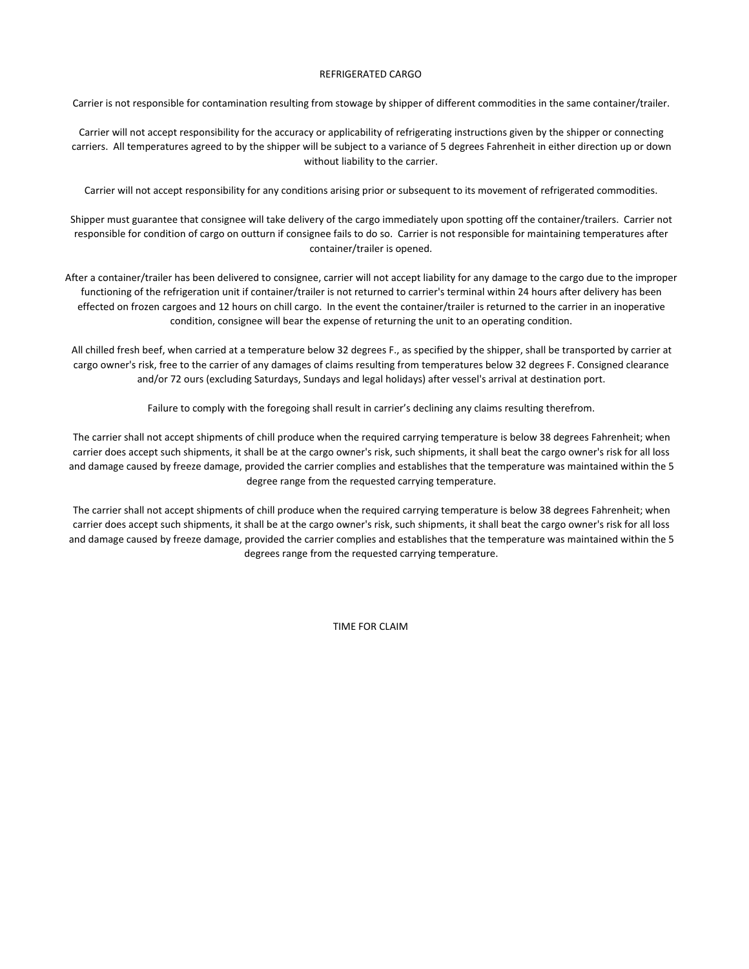#### REFRIGERATED CARGO

Carrier is not responsible for contamination resulting from stowage by shipper of different commodities in the same container/trailer.

Carrier will not accept responsibility for the accuracy or applicability of refrigerating instructions given by the shipper or connecting carriers. All temperatures agreed to by the shipper will be subject to a variance of 5 degrees Fahrenheit in either direction up or down without liability to the carrier.

Carrier will not accept responsibility for any conditions arising prior or subsequent to its movement of refrigerated commodities.

Shipper must guarantee that consignee will take delivery of the cargo immediately upon spotting off the container/trailers. Carrier not responsible for condition of cargo on outturn if consignee fails to do so. Carrier is not responsible for maintaining temperatures after container/trailer is opened.

After a container/trailer has been delivered to consignee, carrier will not accept liability for any damage to the cargo due to the improper functioning of the refrigeration unit if container/trailer is not returned to carrier's terminal within 24 hours after delivery has been effected on frozen cargoes and 12 hours on chill cargo. In the event the container/trailer is returned to the carrier in an inoperative condition, consignee will bear the expense of returning the unit to an operating condition.

All chilled fresh beef, when carried at a temperature below 32 degrees F., as specified by the shipper, shall be transported by carrier at cargo owner's risk, free to the carrier of any damages of claims resulting from temperatures below 32 degrees F. Consigned clearance and/or 72 ours (excluding Saturdays, Sundays and legal holidays) after vessel's arrival at destination port.

Failure to comply with the foregoing shall result in carrier's declining any claims resulting therefrom.

The carrier shall not accept shipments of chill produce when the required carrying temperature is below 38 degrees Fahrenheit; when carrier does accept such shipments, it shall be at the cargo owner's risk, such shipments, it shall beat the cargo owner's risk for all loss and damage caused by freeze damage, provided the carrier complies and establishes that the temperature was maintained within the 5 degree range from the requested carrying temperature.

The carrier shall not accept shipments of chill produce when the required carrying temperature is below 38 degrees Fahrenheit; when carrier does accept such shipments, it shall be at the cargo owner's risk, such shipments, it shall beat the cargo owner's risk for all loss and damage caused by freeze damage, provided the carrier complies and establishes that the temperature was maintained within the 5 degrees range from the requested carrying temperature.

TIME FOR CLAIM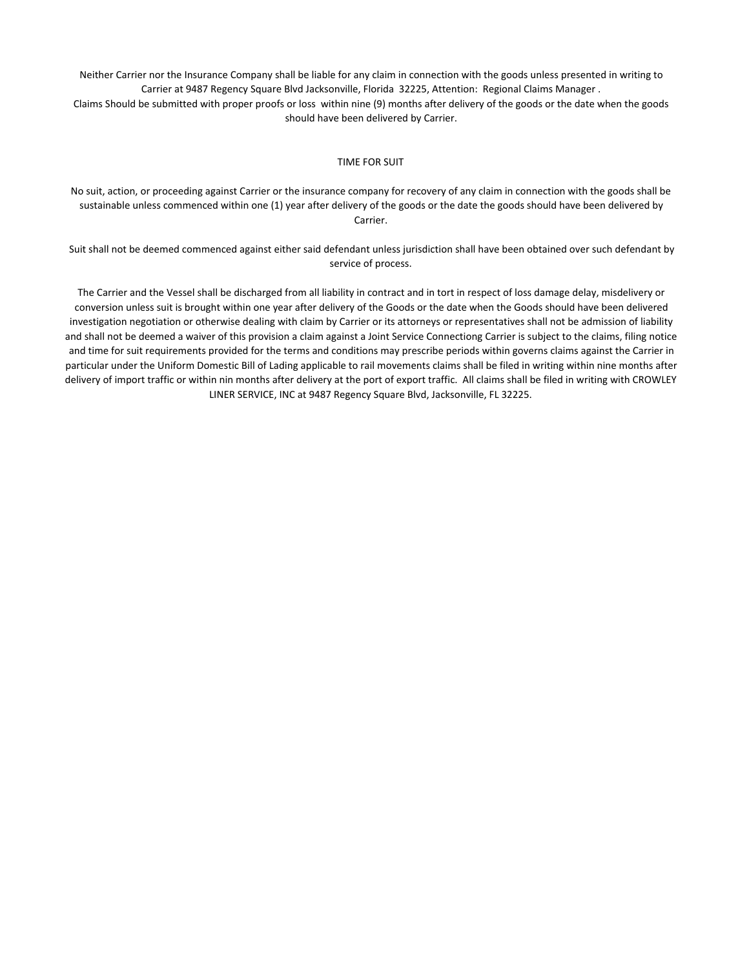Neither Carrier nor the Insurance Company shall be liable for any claim in connection with the goods unless presented in writing to Carrier at 9487 Regency Square Blvd Jacksonville, Florida 32225, Attention: Regional Claims Manager . Claims Should be submitted with proper proofs or loss within nine (9) months after delivery of the goods or the date when the goods should have been delivered by Carrier.

#### TIME FOR SUIT

No suit, action, or proceeding against Carrier or the insurance company for recovery of any claim in connection with the goods shall be sustainable unless commenced within one (1) year after delivery of the goods or the date the goods should have been delivered by Carrier.

Suit shall not be deemed commenced against either said defendant unless jurisdiction shall have been obtained over such defendant by service of process.

The Carrier and the Vessel shall be discharged from all liability in contract and in tort in respect of loss damage delay, misdelivery or conversion unless suit is brought within one year after delivery of the Goods or the date when the Goods should have been delivered investigation negotiation or otherwise dealing with claim by Carrier or its attorneys or representatives shall not be admission of liability and shall not be deemed a waiver of this provision a claim against a Joint Service Connectiong Carrier is subject to the claims, filing notice and time for suit requirements provided for the terms and conditions may prescribe periods within governs claims against the Carrier in particular under the Uniform Domestic Bill of Lading applicable to rail movements claims shall be filed in writing within nine months after delivery of import traffic or within nin months after delivery at the port of export traffic. All claims shall be filed in writing with CROWLEY LINER SERVICE, INC at 9487 Regency Square Blvd, Jacksonville, FL 32225.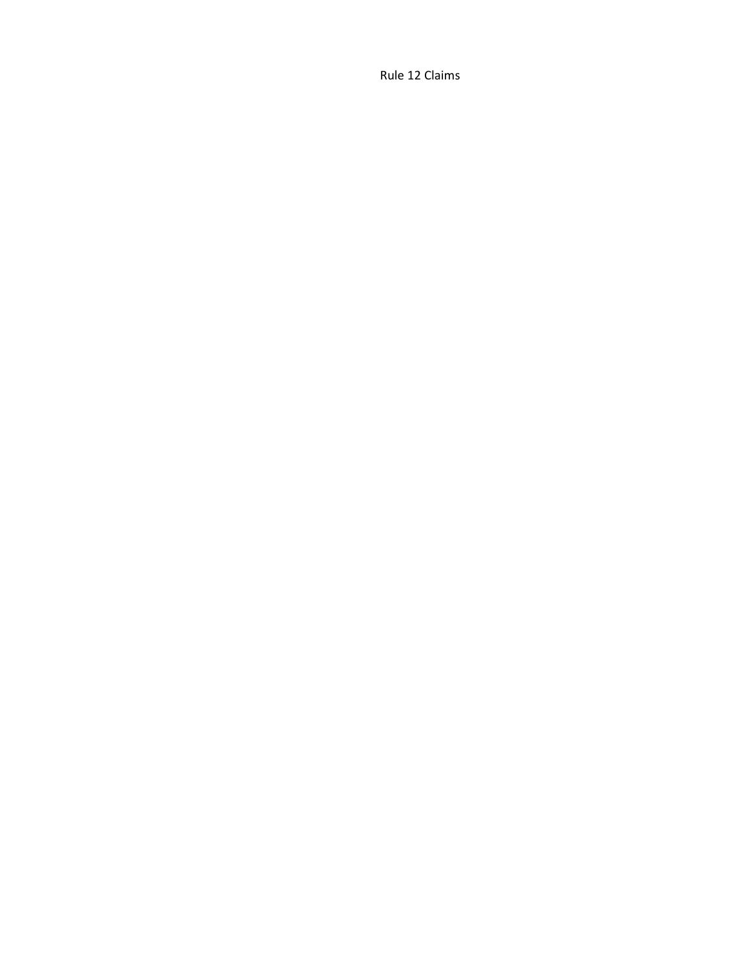Rule 12 Claims